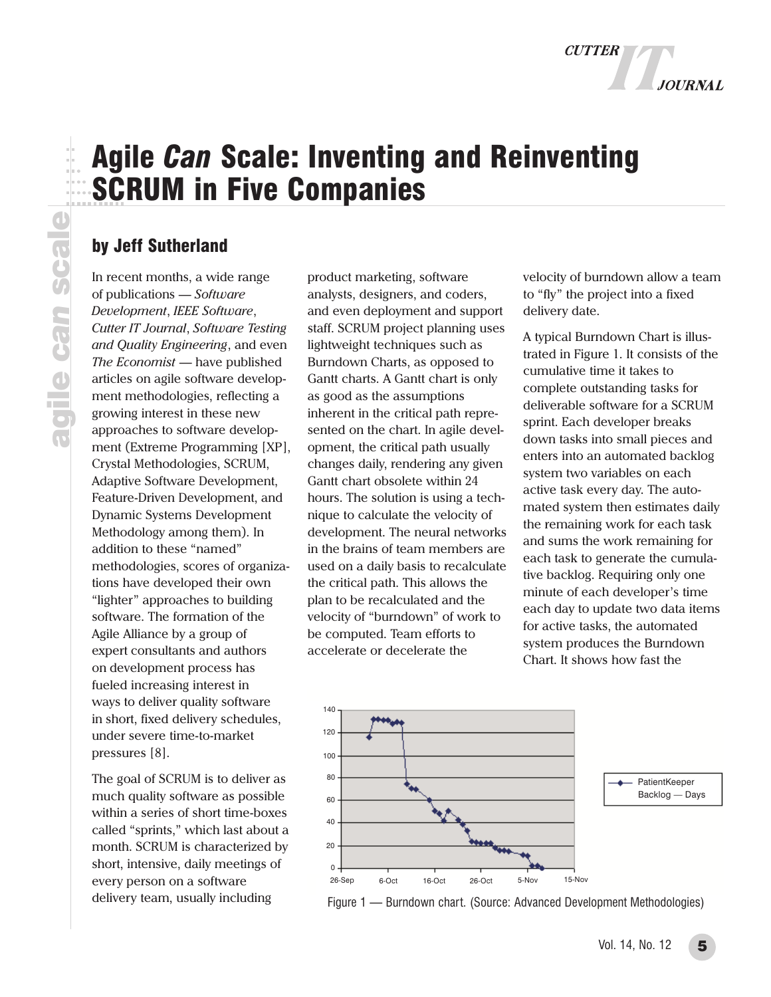

# **Agile Can Scale: Inventing and Reinventing SCRUM in Five Companies**

# by Jeff Sutherland

In recent months, a wide range of publications  $-$  Software Development, IEEE Software, Cutter IT Journal, Software Testing and Quality Engineering, and even The Economist — have published articles on agile software development methodologies, reflecting a growing interest in these new approaches to software development (Extreme Programming [XP], Crystal Methodologies, SCRUM, **Adaptive Software Development,** Feature-Driven Development, and **Dynamic Systems Development** Methodology among them). In addition to these "named" methodologies, scores of organizations have developed their own "lighter" approaches to building software. The formation of the Agile Alliance by a group of expert consultants and authors on development process has fueled increasing interest in ways to deliver quality software in short, fixed delivery schedules, under severe time-to-market pressures [8].

The goal of SCRUM is to deliver as much quality software as possible within a series of short time-boxes called "sprints," which last about a month. SCRUM is characterized by short, intensive, daily meetings of every person on a software delivery team, usually including

product marketing, software analysts, designers, and coders, and even deployment and support staff. SCRUM project planning uses lightweight techniques such as Burndown Charts, as opposed to Gantt charts. A Gantt chart is only as good as the assumptions inherent in the critical path represented on the chart. In agile development, the critical path usually changes daily, rendering any given Gantt chart obsolete within 24 hours. The solution is using a technique to calculate the velocity of development. The neural networks in the brains of team members are used on a daily basis to recalculate the critical path. This allows the plan to be recalculated and the velocity of "burndown" of work to be computed. Team efforts to accelerate or decelerate the

velocity of burndown allow a team to "fly" the project into a fixed delivery date.

A typical Burndown Chart is illustrated in Figure 1. It consists of the cumulative time it takes to complete outstanding tasks for deliverable software for a SCRUM sprint. Each developer breaks down tasks into small pieces and enters into an automated backlog system two variables on each active task every day. The automated system then estimates daily the remaining work for each task and sums the work remaining for each task to generate the cumulative backlog. Requiring only one minute of each developer's time each day to update two data items for active tasks, the automated system produces the Burndown Chart. It shows how fast the





5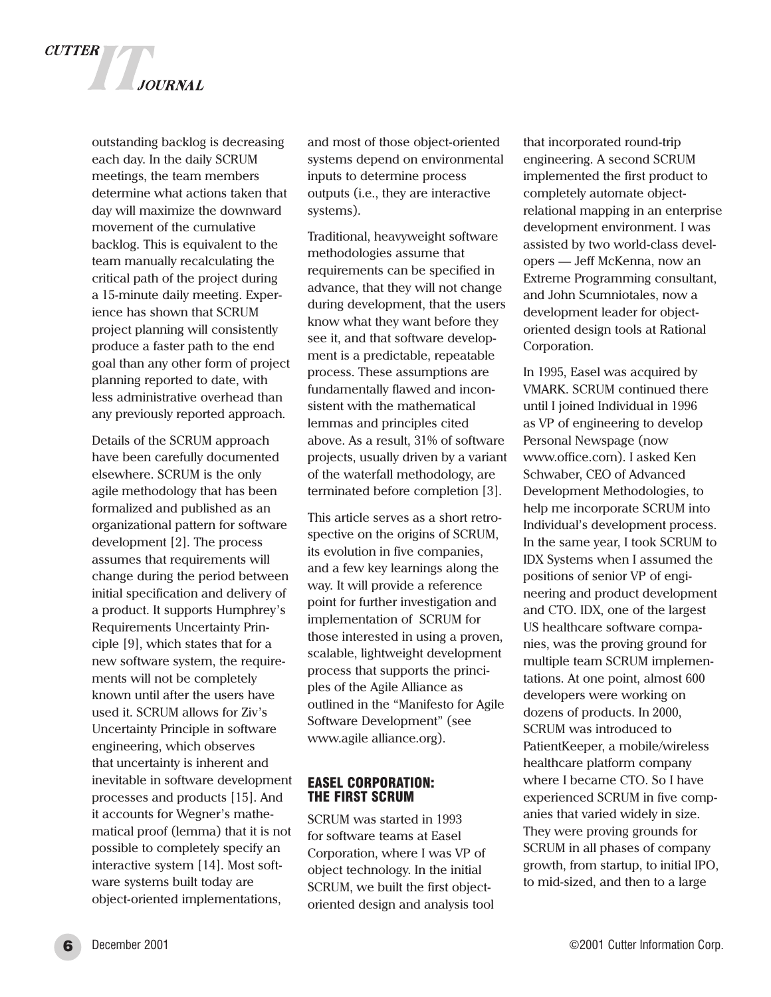

outstanding backlog is decreasing each day. In the daily SCRUM meetings, the team members determine what actions taken that day will maximize the downward movement of the cumulative backlog. This is equivalent to the team manually recalculating the critical path of the project during a 15-minute daily meeting. Experience has shown that SCRUM project planning will consistently produce a faster path to the end goal than any other form of project planning reported to date, with less administrative overhead than any previously reported approach.

Details of the SCRUM approach have been carefully documented elsewhere. SCRUM is the only agile methodology that has been formalized and published as an organizational pattern for software development [2]. The process assumes that requirements will change during the period between initial specification and delivery of a product. It supports Humphrey's Requirements Uncertainty Principle [9], which states that for a new software system, the requirements will not be completely known until after the users have used it. SCRUM allows for Ziv's Uncertainty Principle in software engineering, which observes that uncertainty is inherent and inevitable in software development processes and products [15]. And it accounts for Wegner's mathematical proof (lemma) that it is not possible to completely specify an interactive system [14]. Most software systems built today are object-oriented implementations,

and most of those object-oriented systems depend on environmental inputs to determine process outputs (i.e., they are interactive systems).

Traditional, heavyweight software methodologies assume that requirements can be specified in advance, that they will not change during development, that the users know what they want before they see it, and that software development is a predictable, repeatable process. These assumptions are fundamentally flawed and inconsistent with the mathematical lemmas and principles cited above. As a result, 31% of software projects, usually driven by a variant of the waterfall methodology, are terminated before completion [3].

This article serves as a short retrospective on the origins of SCRUM, its evolution in five companies, and a few key learnings along the way. It will provide a reference point for further investigation and implementation of SCRUM for those interested in using a proven, scalable, lightweight development process that supports the principles of the Agile Alliance as outlined in the "Manifesto for Agile Software Development" (see www.agile alliance.org).

#### **EASEL CORPORATION: THE FIRST SCRUM**

SCRUM was started in 1993 for software teams at Easel Corporation, where I was VP of object technology. In the initial SCRUM, we built the first objectoriented design and analysis tool

that incorporated round-trip engineering. A second SCRUM implemented the first product to completely automate objectrelational mapping in an enterprise development environment. I was assisted by two world-class developers - Jeff McKenna, now an Extreme Programming consultant, and John Scumniotales, now a development leader for objectoriented design tools at Rational Corporation.

In 1995, Easel was acquired by VMARK. SCRUM continued there until I joined Individual in 1996 as VP of engineering to develop Personal Newspage (now www.office.com). I asked Ken Schwaber, CEO of Advanced Development Methodologies, to help me incorporate SCRUM into Individual's development process. In the same year, I took SCRUM to IDX Systems when I assumed the positions of senior VP of engineering and product development and CTO. IDX, one of the largest US healthcare software companies, was the proving ground for multiple team SCRUM implementations. At one point, almost 600 developers were working on dozens of products. In 2000, SCRUM was introduced to PatientKeeper, a mobile/wireless healthcare platform company where I became CTO. So I have experienced SCRUM in five companies that varied widely in size. They were proving grounds for SCRUM in all phases of company growth, from startup, to initial IPO, to mid-sized, and then to a large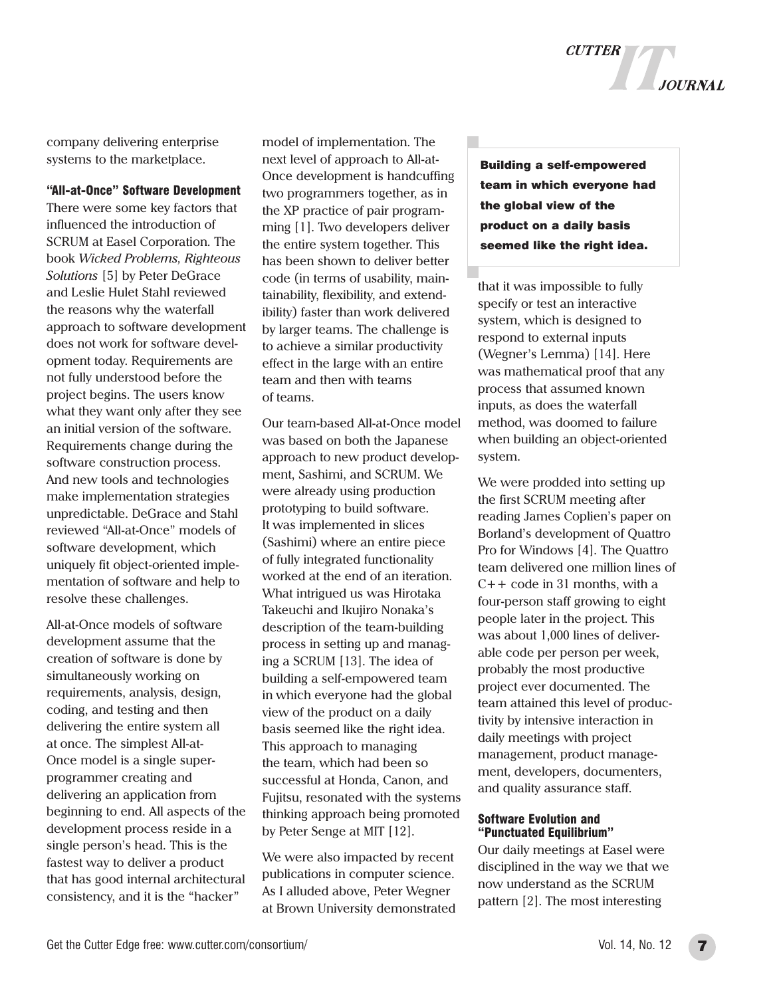

company delivering enterprise systems to the marketplace.

#### "All-at-Once" Software Development

There were some key factors that influenced the introduction of **SCRUM** at Easel Corporation. The book Wicked Problems, Righteous Solutions [5] by Peter DeGrace and Leslie Hulet Stahl reviewed the reasons why the waterfall approach to software development does not work for software development today. Requirements are not fully understood before the project begins. The users know what they want only after they see an initial version of the software. Requirements change during the software construction process. And new tools and technologies make implementation strategies unpredictable. DeGrace and Stahl reviewed "All-at-Once" models of software development, which uniquely fit object-oriented implementation of software and help to resolve these challenges.

All-at-Once models of software development assume that the creation of software is done by simultaneously working on requirements, analysis, design, coding, and testing and then delivering the entire system all at once. The simplest All-at-Once model is a single superprogrammer creating and delivering an application from beginning to end. All aspects of the development process reside in a single person's head. This is the fastest way to deliver a product that has good internal architectural consistency, and it is the "hacker"

model of implementation. The next level of approach to All-at-Once development is handcuffing two programmers together, as in the XP practice of pair programming [1]. Two developers deliver the entire system together. This has been shown to deliver better code (in terms of usability, maintainability, flexibility, and extendibility) faster than work delivered by larger teams. The challenge is to achieve a similar productivity effect in the large with an entire team and then with teams of teams

Our team-based All-at-Once model was based on both the Japanese approach to new product development, Sashimi, and SCRUM. We were already using production prototyping to build software. It was implemented in slices (Sashimi) where an entire piece of fully integrated functionality worked at the end of an iteration. What intrigued us was Hirotaka Takeuchi and Ikujiro Nonaka's description of the team-building process in setting up and managing a SCRUM [13]. The idea of building a self-empowered team in which everyone had the global view of the product on a daily basis seemed like the right idea. This approach to managing the team, which had been so successful at Honda, Canon, and Fujitsu, resonated with the systems thinking approach being promoted by Peter Senge at MIT [12].

We were also impacted by recent publications in computer science. As I alluded above, Peter Wegner at Brown University demonstrated **Building a self-empowered** team in which everyone had the global view of the product on a daily basis seemed like the right idea.

that it was impossible to fully specify or test an interactive system, which is designed to respond to external inputs (Wegner's Lemma) [14]. Here was mathematical proof that any process that assumed known inputs, as does the waterfall method, was doomed to failure when building an object-oriented system.

We were prodded into setting up the first SCRUM meeting after reading James Coplien's paper on Borland's development of Quattro Pro for Windows [4]. The Quattro team delivered one million lines of  $C++code$  in 31 months, with a four-person staff growing to eight people later in the project. This was about 1,000 lines of deliverable code per person per week, probably the most productive project ever documented. The team attained this level of productivity by intensive interaction in daily meetings with project management, product management, developers, documenters, and quality assurance staff.

#### **Software Evolution and** "Punctuated Equilibrium"

Our daily meetings at Easel were disciplined in the way we that we now understand as the SCRUM pattern [2]. The most interesting

 $\overline{\mathbf{z}}$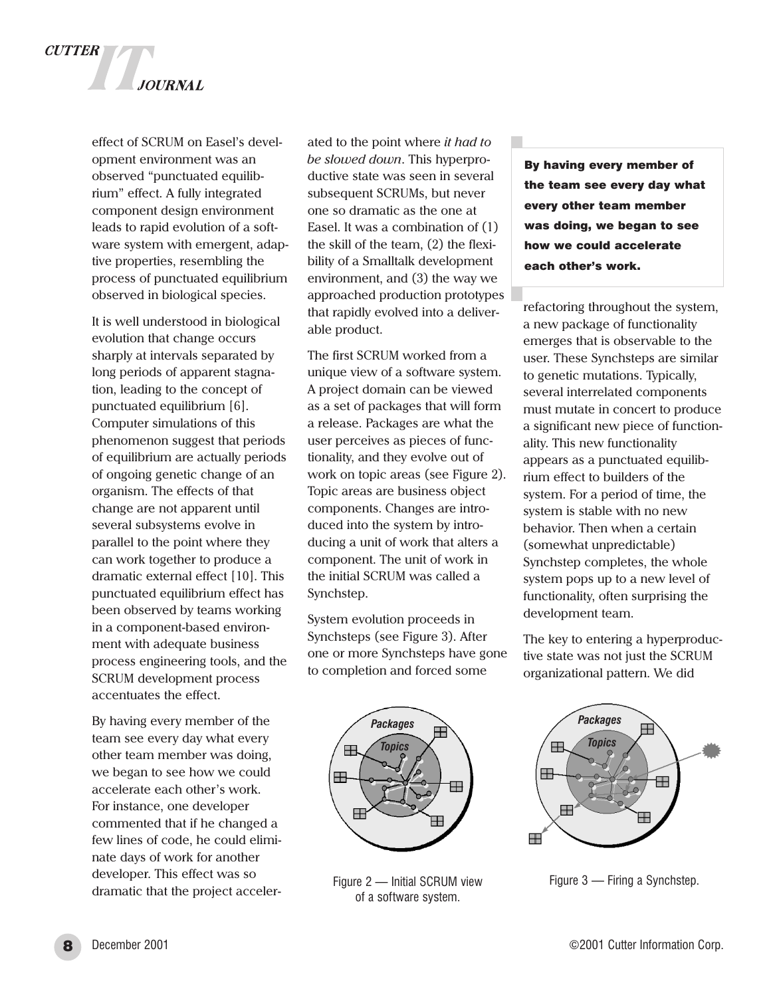

effect of SCRUM on Easel's development environment was an observed "punctuated equilibrium" effect. A fully integrated component design environment leads to rapid evolution of a software system with emergent, adaptive properties, resembling the process of punctuated equilibrium observed in biological species.

It is well understood in biological evolution that change occurs sharply at intervals separated by long periods of apparent stagnation, leading to the concept of punctuated equilibrium [6]. Computer simulations of this phenomenon suggest that periods of equilibrium are actually periods of ongoing genetic change of an organism. The effects of that change are not apparent until several subsystems evolve in parallel to the point where they can work together to produce a dramatic external effect [10]. This punctuated equilibrium effect has been observed by teams working in a component-based environment with adequate business process engineering tools, and the **SCRUM** development process accentuates the effect.

By having every member of the team see every day what every other team member was doing, we began to see how we could accelerate each other's work. For instance, one developer commented that if he changed a few lines of code, he could eliminate days of work for another developer. This effect was so dramatic that the project accelerated to the point where it had to be slowed down. This hyperproductive state was seen in several subsequent SCRUMs, but never one so dramatic as the one at Easel. It was a combination of  $(1)$ the skill of the team, (2) the flexibility of a Smalltalk development environment, and (3) the way we approached production prototypes that rapidly evolved into a deliverable product.

The first SCRUM worked from a unique view of a software system. A project domain can be viewed as a set of packages that will form a release. Packages are what the user perceives as pieces of functionality, and they evolve out of work on topic areas (see Figure 2). Topic areas are business object components. Changes are introduced into the system by introducing a unit of work that alters a component. The unit of work in the initial SCRUM was called a Synchstep.

System evolution proceeds in Synchsteps (see Figure 3). After one or more Synchsteps have gone to completion and forced some

By having every member of the team see every day what every other team member was doing, we began to see how we could accelerate each other's work.

refactoring throughout the system, a new package of functionality emerges that is observable to the user. These Synchsteps are similar to genetic mutations. Typically, several interrelated components must mutate in concert to produce a significant new piece of functionality. This new functionality appears as a punctuated equilibrium effect to builders of the system. For a period of time, the system is stable with no new behavior. Then when a certain (somewhat unpredictable) Synchstep completes, the whole system pops up to a new level of functionality, often surprising the development team.

The key to entering a hyperproductive state was not just the SCRUM organizational pattern. We did



Figure 2 - Initial SCRUM view of a software system.



Figure 3 — Firing a Synchstep.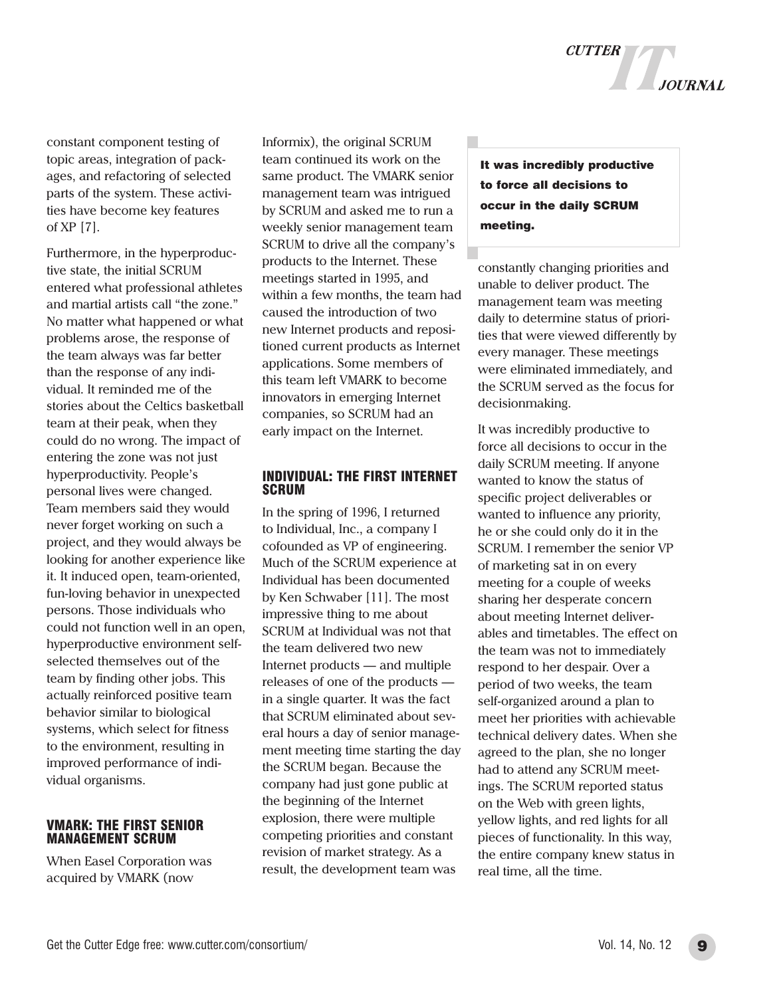

constant component testing of topic areas, integration of packages, and refactoring of selected parts of the system. These activities have become key features of XP [7].

Furthermore, in the hyperproductive state, the initial SCRUM entered what professional athletes and martial artists call "the zone." No matter what happened or what problems arose, the response of the team always was far better than the response of any individual. It reminded me of the stories about the Celtics basketball team at their peak, when they could do no wrong. The impact of entering the zone was not just hyperproductivity. People's personal lives were changed. Team members said they would never forget working on such a project, and they would always be looking for another experience like it. It induced open, team-oriented, fun-loving behavior in unexpected persons. Those individuals who could not function well in an open, hyperproductive environment selfselected themselves out of the team by finding other jobs. This actually reinforced positive team behavior similar to biological systems, which select for fitness to the environment, resulting in improved performance of individual organisms.

#### *VMARK: THE FIRST SENIOR* **MANAGEMENT SCRUM**

When Easel Corporation was acquired by VMARK (now

Informix), the original SCRUM team continued its work on the same product. The VMARK senior management team was intrigued by SCRUM and asked me to run a weekly senior management team SCRUM to drive all the company's products to the Internet. These meetings started in 1995, and within a few months, the team had caused the introduction of two new Internet products and repositioned current products as Internet applications. Some members of this team left VMARK to become innovators in emerging Internet companies, so SCRUM had an early impact on the Internet.

### **INDIVIDUAL: THE FIRST INTERNET SCRUM**

In the spring of 1996, I returned to Individual, Inc., a company I cofounded as VP of engineering. Much of the SCRUM experience at Individual has been documented by Ken Schwaber [11]. The most impressive thing to me about SCRUM at Individual was not that the team delivered two new Internet products — and multiple releases of one of the products in a single quarter. It was the fact that SCRUM eliminated about several hours a day of senior management meeting time starting the day the SCRUM began. Because the company had just gone public at the beginning of the Internet explosion, there were multiple competing priorities and constant revision of market strategy. As a result, the development team was

It was incredibly productive to force all decisions to occur in the daily SCRUM meeting.

constantly changing priorities and unable to deliver product. The management team was meeting daily to determine status of priorities that were viewed differently by every manager. These meetings were eliminated immediately, and the SCRUM served as the focus for decisionmaking.

It was incredibly productive to force all decisions to occur in the daily SCRUM meeting. If anyone wanted to know the status of specific project deliverables or wanted to influence any priority, he or she could only do it in the SCRUM. I remember the senior VP of marketing sat in on every meeting for a couple of weeks sharing her desperate concern about meeting Internet deliverables and timetables. The effect on the team was not to immediately respond to her despair. Over a period of two weeks, the team self-organized around a plan to meet her priorities with achievable technical delivery dates. When she agreed to the plan, she no longer had to attend any SCRUM meetings. The SCRUM reported status on the Web with green lights, yellow lights, and red lights for all pieces of functionality. In this way, the entire company knew status in real time, all the time.

9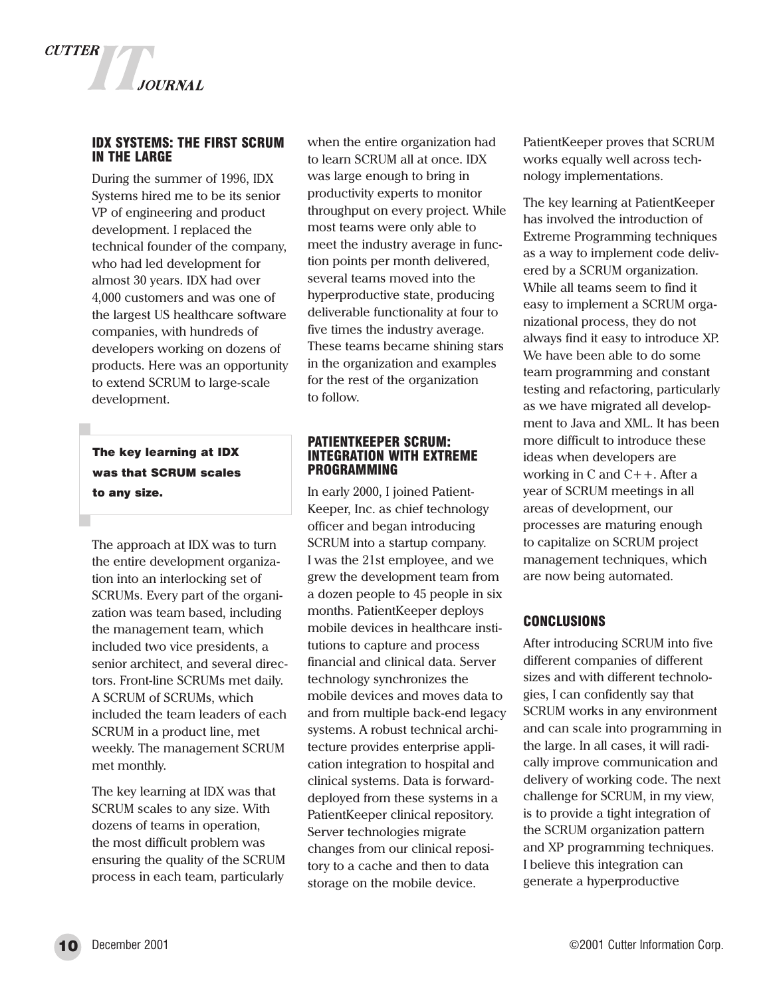

#### **IDX SYSTEMS: THE FIRST SCRUM** *IN THE LARGE*

During the summer of 1996, IDX Systems hired me to be its senior VP of engineering and product development. I replaced the technical founder of the company, who had led development for almost 30 years. IDX had over 4,000 customers and was one of the largest US healthcare software companies, with hundreds of developers working on dozens of products. Here was an opportunity to extend SCRUM to large-scale development.

The key learning at IDX was that SCRUM scales to any size.

The approach at IDX was to turn the entire development organization into an interlocking set of SCRUMs. Every part of the organization was team based, including the management team, which included two vice presidents, a senior architect, and several directors. Front-line SCRUMs met daily. A SCRUM of SCRUMs, which included the team leaders of each SCRUM in a product line, met weekly. The management SCRUM met monthly.

The key learning at IDX was that SCRUM scales to any size. With dozens of teams in operation, the most difficult problem was ensuring the quality of the SCRUM process in each team, particularly

when the entire organization had to learn SCRUM all at once. IDX was large enough to bring in productivity experts to monitor throughput on every project. While most teams were only able to meet the industry average in function points per month delivered. several teams moved into the hyperproductive state, producing deliverable functionality at four to five times the industry average. These teams became shining stars in the organization and examples for the rest of the organization to follow.

#### **PATIENTKEEPER SCRUM: INTEGRATION WITH EXTREME PROGRAMMING**

In early 2000, I joined Patient-Keeper, Inc. as chief technology officer and began introducing SCRUM into a startup company. I was the 21st employee, and we grew the development team from a dozen people to 45 people in six months. PatientKeeper deploys mobile devices in healthcare institutions to capture and process financial and clinical data. Server technology synchronizes the mobile devices and moves data to and from multiple back-end legacy systems. A robust technical architecture provides enterprise application integration to hospital and clinical systems. Data is forwarddeployed from these systems in a PatientKeeper clinical repository. Server technologies migrate changes from our clinical repository to a cache and then to data storage on the mobile device.

PatientKeeper proves that SCRUM works equally well across technology implementations.

The key learning at PatientKeeper has involved the introduction of **Extreme Programming techniques** as a way to implement code delivered by a SCRUM organization. While all teams seem to find it easy to implement a SCRUM organizational process, they do not always find it easy to introduce XP. We have been able to do some team programming and constant testing and refactoring, particularly as we have migrated all development to Java and XML. It has been more difficult to introduce these ideas when developers are working in C and  $C++$ . After a year of SCRUM meetings in all areas of development, our processes are maturing enough to capitalize on SCRUM project management techniques, which are now being automated.

## **CONCLUSIONS**

After introducing SCRUM into five different companies of different sizes and with different technologies, I can confidently say that SCRUM works in any environment and can scale into programming in the large. In all cases, it will radically improve communication and delivery of working code. The next challenge for SCRUM, in my view, is to provide a tight integration of the SCRUM organization pattern and XP programming techniques. I believe this integration can generate a hyperproductive